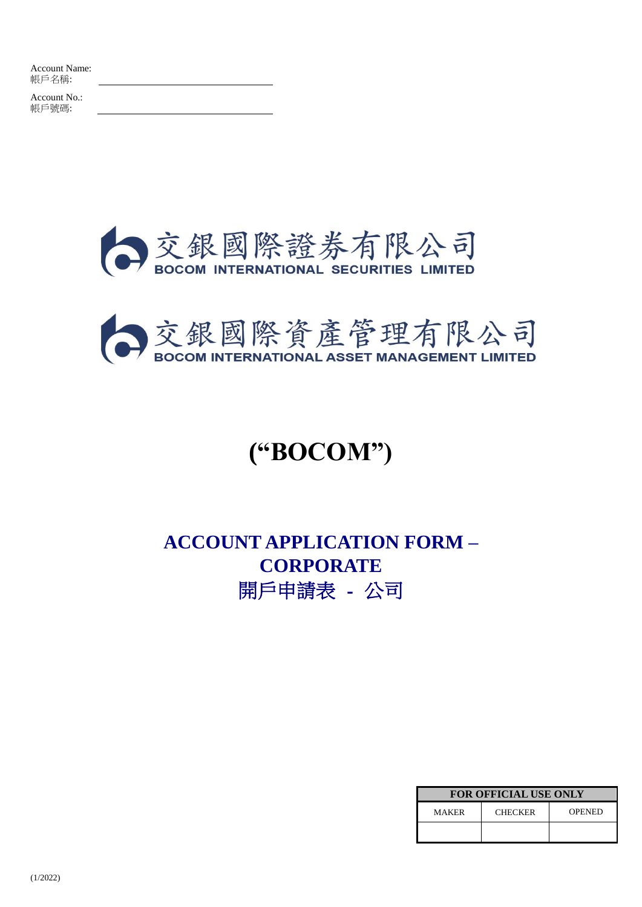Account No.: 帳戶號碼:





# **("BOCOM")**

# **ACCOUNT APPLICATION FORM – CORPORATE** 開戶申請表 - 公司

| <b>FOR OFFICIAL USE ONLY</b> |                |               |  |
|------------------------------|----------------|---------------|--|
| <b>MAKER</b>                 | <b>CHECKER</b> | <b>OPENED</b> |  |
|                              |                |               |  |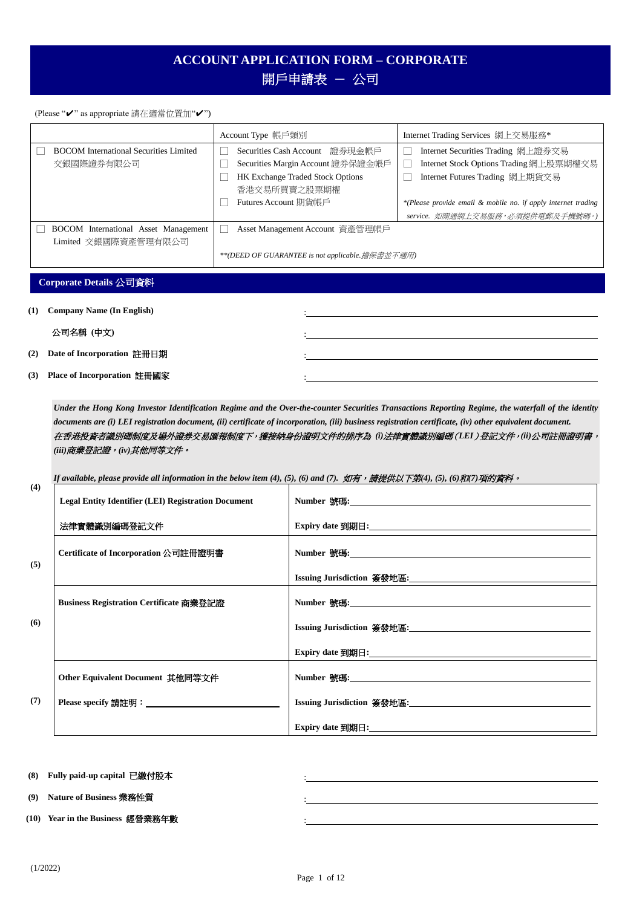## **ACCOUNT APPLICATION FORM – CORPORATE** 開戶申請表 - 公司

#### (Please "✔" as appropriate 請在適當位置加"✔")

|                                                                     | Account Type 帳戶類別                                                                                                                                  | Internet Trading Services 網上交易服務*                                                                                                                                                 |  |
|---------------------------------------------------------------------|----------------------------------------------------------------------------------------------------------------------------------------------------|-----------------------------------------------------------------------------------------------------------------------------------------------------------------------------------|--|
| <b>BOCOM</b> International Securities Limited<br>交銀國際證券有限公司         | Securities Cash Account<br>證券現金帳戶<br>Securities Margin Account 證券保證金帳戶<br>HK Exchange Traded Stock Options<br>香港交易所買賣之股票期權<br>Futures Account 期貨帳戶 | Internet Securities Trading 網上證券交易<br>Internet Stock Options Trading 網上股票期權交易<br>Internet Futures Trading 網上期貨交易<br>*(Please provide email & mobile no. if apply internet trading |  |
|                                                                     |                                                                                                                                                    | service. 如開通網上交易服務,必須提供電郵及手機號碼。)                                                                                                                                                  |  |
| <b>BOCOM</b> International Asset Management<br>Limited 交銀國際資產管理有限公司 | Asset Management Account 資產管理帳戶                                                                                                                    |                                                                                                                                                                                   |  |
|                                                                     | **(DEED OF GUARANTEE is not applicable.擔保書並不適用)                                                                                                    |                                                                                                                                                                                   |  |

## **Corporate Details** 公司資料

| (1) Company Name (In English)   |  |
|---------------------------------|--|
| 公司名稱 (中文)                       |  |
| (2) Date of Incorporation 註冊日期  |  |
| (3) Place of Incorporation 註冊國家 |  |

*Under the Hong Kong Investor Identification Regime and the Over-the-counter Securities Transactions Reporting Regime, the waterfall of the identity documents are (i) LEI registration document, (ii) certificate of incorporation, (iii) business registration certificate, (iv) other equivalent document.* 在香港投資者識別碼制度及場外證券交易匯報制度下,獲接納身份證明文件的排序為 *(i)*法律實體識別編碼(*LEI*)登記文件,*(ii)*公司註冊證明書, *(iii)*商業登記證,*(iv)*其他同等文件。

**(4)**

*If available, please provide all information in the below item (4), (5), (6) and (7).* 如有,請提供以下第*(4), (5), (6)*和*(7)*項的資料。

| $\ddot{\phantom{1}}$ | <b>Legal Entity Identifier (LEI) Registration Document</b> | Number 號碼: <u>2000 million</u>                                                                                                                                                                                                      |
|----------------------|------------------------------------------------------------|-------------------------------------------------------------------------------------------------------------------------------------------------------------------------------------------------------------------------------------|
|                      | 法律實體識別編碼登記文件                                               |                                                                                                                                                                                                                                     |
| (5)                  | Certificate of Incorporation 公司註冊證明書                       |                                                                                                                                                                                                                                     |
|                      |                                                            | Issuing Jurisdiction 簽發地區: <u>2000 million of the September of September 2001</u>                                                                                                                                                   |
|                      | Business Registration Certificate 商業登記證                    | Number 號碼: <u>1988年 1989年 1989年 1989年 1989年 1989年 1989年 1989年 1989年 1989年 1989年 1989年 1989年 1989年 1989年 1989年 1989年 1989年 1989年 1989年 1989年 1989年 1989年 1989年 1989年 1989年 1989年 1989年 1989年 1989年 1989年 1989年 1989年 1989年 1989年</u> |
| (6)                  |                                                            | Issuing Jurisdiction 簽發地區: <u>2000 magacana and the set of the set of the set of the set of the set of the set of the set of the set of the set of the set of the set of the set of the set of the set of the set of the set of</u> |
|                      |                                                            |                                                                                                                                                                                                                                     |
|                      | Other Equivalent Document 其他同等文件                           | Number 號碼: <u>2000 million and the set of the set of the set of the set of the set of the set of the set of the set of the set of the set of the set of the set of the set of the set of th</u>                                     |
| (7)                  |                                                            | Issuing Jurisdiction 簽發地區: 2008年 2019年 2019年 2021年 2021年 2022年 2022年 2022年 2022年 2022年 2022年 2022年 2022年 2022年                                                                                                                      |
|                      |                                                            |                                                                                                                                                                                                                                     |

#### **(8) Fully paid-up capital** 已繳付股本 :

**(9) Nature of Business** 業務性質 :

**(10) Year in the Business** 經營業務年數 :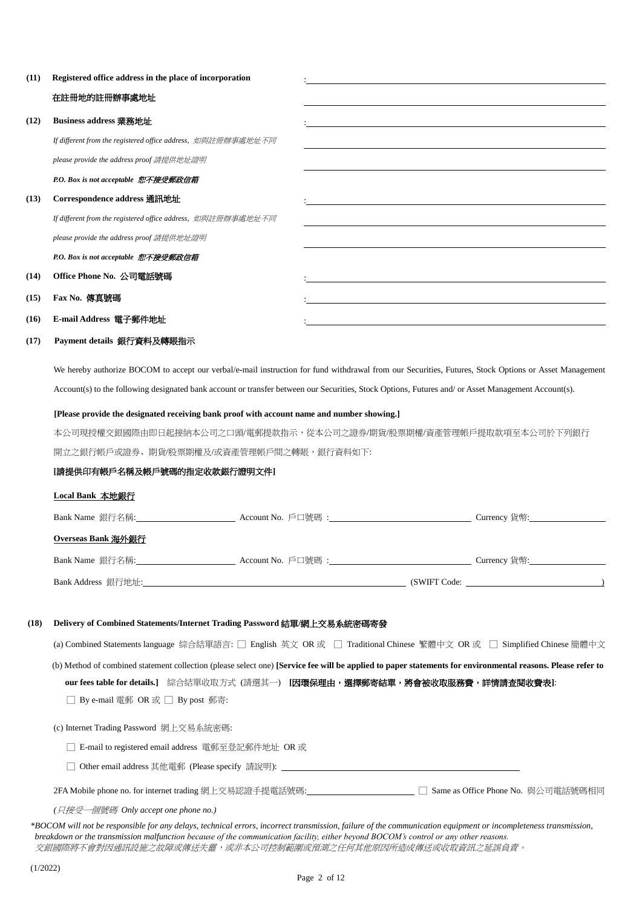| (11) | Registered office address in the place of incorporation |  |  |  |
|------|---------------------------------------------------------|--|--|--|
|------|---------------------------------------------------------|--|--|--|

#### 在註冊地的註冊辦事處地址

#### **(12) Business address** 業務地址

*If different from the registered office address,* 如與註冊辦事處地址不同 *please provide the address proof* 請提供地址證明

*P.O. Box is not acceptable* 恕不接受郵政信箱

#### **(13) Correspondence address** 通訊地址

*If different from the registered office address,* 如與註冊辦事處地址不同 *please provide the address proof* 請提供地址證明

*P.O. Box is not acceptable* 恕不接受郵政信箱

#### **(14) Office Phone No.** 公司電話號碼 :

- **(15) Fax No.** 傳真號碼 :
- **(16) E-mail Address** 電子郵件地址 :

#### **(17) Payment details** 銀行資料及轉賬指示

We hereby authorize BOCOM to accept our verbal/e-mail instruction for fund withdrawal from our Securities, Futures, Stock Options or Asset Management Account(s) to the following designated bank account or transfer between our Securities, Stock Options, Futures and/ or Asset Management Account(s).

:

l,

:

 $\overline{a}$ 

:

 $\overline{a}$ 

 $\overline{a}$ 

 $\overline{\phantom{a}}$ 

#### **[Please provide the designated receiving bank proof with account name and number showing.]**

本公司現授權交銀國際由即日起接納本公司之口頭/電郵提款指示,從本公司之證券/期貨/股票期權/資產管理帳戶提取款項至本公司於下列銀行 開立之銀行帳戶或證券、期貨/股票期權及/或資產管理帳戶間之轉賬,銀行資料如下:

#### **[**請提供印有帳戶名稱及帳戶號碼的指定收款銀行證明文件**]**

#### **Local Bank** 本地銀行

| Bank Name 銀行名稱:    | Account No. 戶口號碼 : | Currency 貨幣:_          |
|--------------------|--------------------|------------------------|
| Overseas Bank 海外銀行 |                    |                        |
| Bank Name 銀行名稱:    | Account No. 戶口號碼 : | Currency 貨幣:__________ |
| Bank Address 銀行地址: | (SWIFT Code:       |                        |

#### **(18) Delivery of Combined Statements/Internet Trading Password** 結單**/**網上交易系統密碼寄發

(a) Combined Statements language 綜合結單語言: □ English 英文 OR 或 □ Traditional Chinese 繁體中文 OR 或 □ Simplified Chinese 簡體中文

(b) Method of combined statement collection (please select one) **[Service fee will be applied to paper statements for environmental reasons. Please refer to**  our fees table for details.] 綜合結單收取方式 (請選其一) [因環保理由,選擇郵寄結單,將會被收取服務費,詳情請查閱收費表]

#### □ By e-mail 電郵 OR 或 □ By post 郵寄:

(c) Internet Trading Password 網上交易系統密碼:

□ E-mail to registered email address 電郵至登記郵件地址 OR 或

□ Other email address 其他電郵 (Please specify 請說明): <u>□ □ □ □ □ □ □ □ □</u>

| 2FA Mobile phone no. for internet trading 網上交易認證手提電話號碼:__ | ] Same as Office Phone No. 與公司電話號碼相同 |  |
|-----------------------------------------------------------|--------------------------------------|--|
|-----------------------------------------------------------|--------------------------------------|--|

| (只接受一個號碼 Only accept one phone no.) |  |  |
|-------------------------------------|--|--|
|-------------------------------------|--|--|

*\*BOCOM will not be responsible for any delays, technical errors, incorrect transmission, failure of the communication equipment or incompleteness transmission, breakdown or the transmission malfunction because of the communication facility, either beyond BOCOM's control or any other reasons.* 交銀國際將不會對因通訊設施之故障或傳送失靈,或非本公司控制範圍或預測之任何其他原因所造成傳送或收取資訊之延誤負責。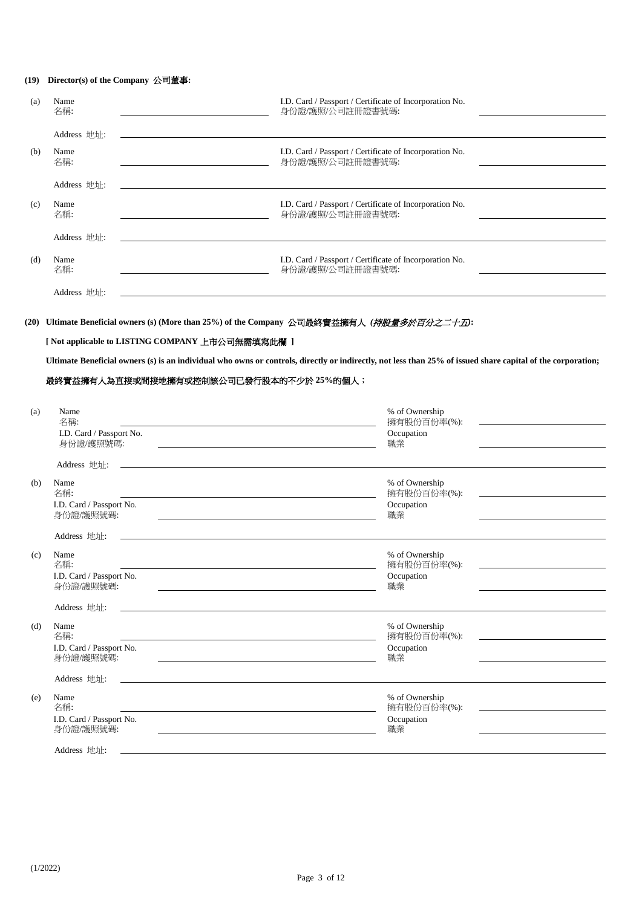### **(19) Director(s) of the Company** 公司董事**:**

| (a) | Name<br>名稱: | I.D. Card / Passport / Certificate of Incorporation No.<br>身份證/護照/公司註冊證書號碼: |
|-----|-------------|-----------------------------------------------------------------------------|
|     | Address 地址: |                                                                             |
| (b) | Name<br>名稱: | I.D. Card / Passport / Certificate of Incorporation No.<br>身份證/護照/公司註冊證書號碼: |
|     | Address 地址: |                                                                             |
| (c) | Name<br>名稱: | I.D. Card / Passport / Certificate of Incorporation No.<br>身份證/護照/公司註冊證書號碼: |
|     | Address 地址: |                                                                             |
| (d) | Name<br>名稱: | I.D. Card / Passport / Certificate of Incorporation No.<br>身份證/護照/公司註冊證書號碼: |
|     | Address 地址: |                                                                             |
|     |             |                                                                             |

## **(20) Ultimate Beneficial owners (s) (More than 25%) of the Company** 公司最終實益擁有人 *(*持股量多於百分之二十五*)***:**

**[ Not applicable to LISTING COMPANY** 上市公司無需填寫此欄 **]**

**Ultimate Beneficial owners (s) is an individual who owns or controls, directly or indirectly, not less than 25% of issued share capital of the corporation;**

## 最終實益擁有人為直接或間接地擁有或控制該公司已發行股本的不少於 **25%**的個人;

| (a) | Name<br>名稱:                                                                                                                         | % of Ownership<br>擁有股份百份率(%): |                                                                                                                                                                                                                                      |
|-----|-------------------------------------------------------------------------------------------------------------------------------------|-------------------------------|--------------------------------------------------------------------------------------------------------------------------------------------------------------------------------------------------------------------------------------|
|     | I.D. Card / Passport No.<br>身份證/護照號碼:                                                                                               | Occupation<br>職業              |                                                                                                                                                                                                                                      |
|     | Address 地址:<br><u> 1989 - Andrea Barbara, poeta esperanto-poeta esperanto-poeta esperanto-poeta esperanto-poeta esperanto-poeta</u> |                               |                                                                                                                                                                                                                                      |
| (b) | Name<br>名稱:                                                                                                                         | % of Ownership<br>擁有股份百份率(%): | <u>and the company of the company of the company of the company of the company of the company of the company of the company of the company of the company of the company of the company of the company of the company of the com</u> |
|     | I.D. Card / Passport No.<br>身份證/護照號碼:                                                                                               | Occupation<br>職業              |                                                                                                                                                                                                                                      |
|     | Address 地址:<br><u> 1980 - Jan Samuel Barbara, margaret eta idazlearia (h. 1980).</u>                                                |                               |                                                                                                                                                                                                                                      |
| (c) | Name<br>名稱:                                                                                                                         | % of Ownership<br>擁有股份百份率(%): |                                                                                                                                                                                                                                      |
|     | I.D. Card / Passport No.<br>身份證/護照號碼:<br><u> 1989 - John Stone, amerikansk politiker (d. 1989)</u>                                  | Occupation<br>職業              |                                                                                                                                                                                                                                      |
|     | Address 地址:                                                                                                                         |                               |                                                                                                                                                                                                                                      |
| (d) | Name<br>名稱:                                                                                                                         | % of Ownership<br>擁有股份百份率(%): |                                                                                                                                                                                                                                      |
|     | I.D. Card / Passport No.<br>身份證/護照號碼:                                                                                               | Occupation<br>職業              |                                                                                                                                                                                                                                      |
|     | Address 地址:                                                                                                                         |                               |                                                                                                                                                                                                                                      |
| (e) | Name<br>名稱:                                                                                                                         | % of Ownership<br>擁有股份百份率(%): |                                                                                                                                                                                                                                      |
|     | I.D. Card / Passport No.<br>身份證/護照號碼:                                                                                               | Occupation<br>職業              |                                                                                                                                                                                                                                      |
|     | Address 地址:                                                                                                                         |                               |                                                                                                                                                                                                                                      |

(1/2022)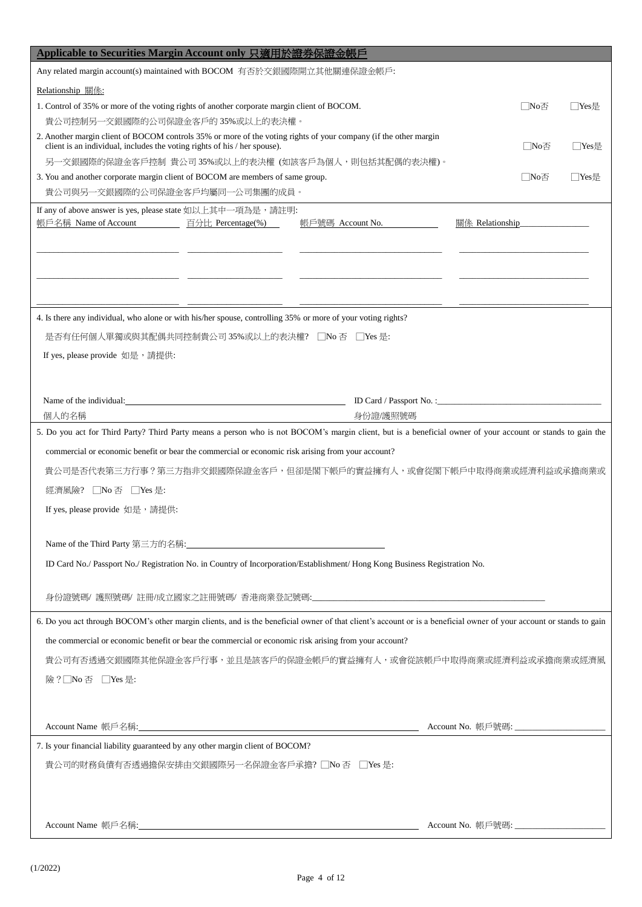| Applicable to Securities Margin Account only 只適用於證券保證金帳戶                                                                                                                                      |                                          |                                    |       |
|-----------------------------------------------------------------------------------------------------------------------------------------------------------------------------------------------|------------------------------------------|------------------------------------|-------|
| Any related margin account(s) maintained with BOCOM 有否於交銀國際開立其他關連保證金帳戶:                                                                                                                       |                                          |                                    |       |
| Relationship 關係:                                                                                                                                                                              |                                          |                                    |       |
| 1. Control of 35% or more of the voting rights of another corporate margin client of BOCOM.<br>貴公司控制另一交銀國際的公司保證金客戶的35%或以上的表決權。                                                                |                                          | $\Box$ No $\overline{\mathcal{A}}$ | Yes是  |
| 2. Another margin client of BOCOM controls 35% or more of the voting rights of your company (if the other margin<br>client is an individual, includes the voting rights of his / her spouse). |                                          | $\Box$ No $\overline{\mathbb{A}}$  | Yes是  |
| 另一交銀國際的保證金客戶控制 貴公司35%或以上的表決權 (如該客戶為個人,則包括其配偶的表決權)。                                                                                                                                            |                                          |                                    |       |
| 3. You and another corporate margin client of BOCOM are members of same group.<br>貴公司與另一交銀國際的公司保證金客戶均屬同一公司集團的成員。                                                                              |                                          | $\Box$ No $\overline{\mathbb{A}}$  | □Yes是 |
| If any of above answer is yes, please state 如以上其中一項為是,請註明:                                                                                                                                    |                                          |                                    |       |
| 帳戶名稱 Name of Account 百分比 Percentage(%)<br>帳戶號碼 Account No.                                                                                                                                    | 關係 Relationship                          |                                    |       |
|                                                                                                                                                                                               |                                          |                                    |       |
|                                                                                                                                                                                               |                                          |                                    |       |
|                                                                                                                                                                                               |                                          |                                    |       |
|                                                                                                                                                                                               |                                          |                                    |       |
| 4. Is there any individual, who alone or with his/her spouse, controlling 35% or more of your voting rights?                                                                                  |                                          |                                    |       |
| 是否有任何個人單獨或與其配偶共同控制貴公司 35%或以上的表決權? □No 否 □Yes 是:                                                                                                                                               |                                          |                                    |       |
| If yes, please provide 如是,請提供:                                                                                                                                                                |                                          |                                    |       |
|                                                                                                                                                                                               |                                          |                                    |       |
|                                                                                                                                                                                               |                                          |                                    |       |
| 個人的名稱<br>身份證/護照號碼                                                                                                                                                                             |                                          |                                    |       |
| 5. Do you act for Third Party? Third Party means a person who is not BOCOM's margin client, but is a beneficial owner of your account or stands to gain the                                   |                                          |                                    |       |
| commercial or economic benefit or bear the commercial or economic risk arising from your account?                                                                                             |                                          |                                    |       |
| 貴公司是否代表第三方行事?第三方指非交銀國際保證金客戶,但卻是閣下帳戶的實益擁有人,或會從閣下帳戶中取得商業或經濟利益或承擔商業或                                                                                                                             |                                          |                                    |       |
| 經濟風險? □No 否 □Yes 是:                                                                                                                                                                           |                                          |                                    |       |
| If yes, please provide 如是,請提供:                                                                                                                                                                |                                          |                                    |       |
|                                                                                                                                                                                               |                                          |                                    |       |
| Name of the Third Party 第三方的名稱:<br><br><u> </u>                                                                                                                                               |                                          |                                    |       |
| ID Card No./ Passport No./ Registration No. in Country of Incorporation/Establishment/ Hong Kong Business Registration No.                                                                    |                                          |                                    |       |
|                                                                                                                                                                                               |                                          |                                    |       |
|                                                                                                                                                                                               |                                          |                                    |       |
| 6. Do you act through BOCOM's other margin clients, and is the beneficial owner of that client's account or is a beneficial owner of your account or stands to gain                           |                                          |                                    |       |
| the commercial or economic benefit or bear the commercial or economic risk arising from your account?                                                                                         |                                          |                                    |       |
| 貴公司有否透過交銀國際其他保證金客戶行事,並且是該客戶的保證金帳戶的實益擁有人,或會從該帳戶中取得商業或經濟利益或承擔商業或經濟風                                                                                                                             |                                          |                                    |       |
| 險?□No 否 □Yes 是:                                                                                                                                                                               |                                          |                                    |       |
|                                                                                                                                                                                               |                                          |                                    |       |
|                                                                                                                                                                                               |                                          |                                    |       |
|                                                                                                                                                                                               |                                          |                                    |       |
| 7. Is your financial liability guaranteed by any other margin client of BOCOM?                                                                                                                |                                          |                                    |       |
| 貴公司的財務負債有否透過擔保安排由交銀國際另一名保證金客戶承擔?□No 否□ Yes 是:                                                                                                                                                 |                                          |                                    |       |
|                                                                                                                                                                                               |                                          |                                    |       |
|                                                                                                                                                                                               |                                          |                                    |       |
|                                                                                                                                                                                               | Account No. 帳戶號碼: ______________________ |                                    |       |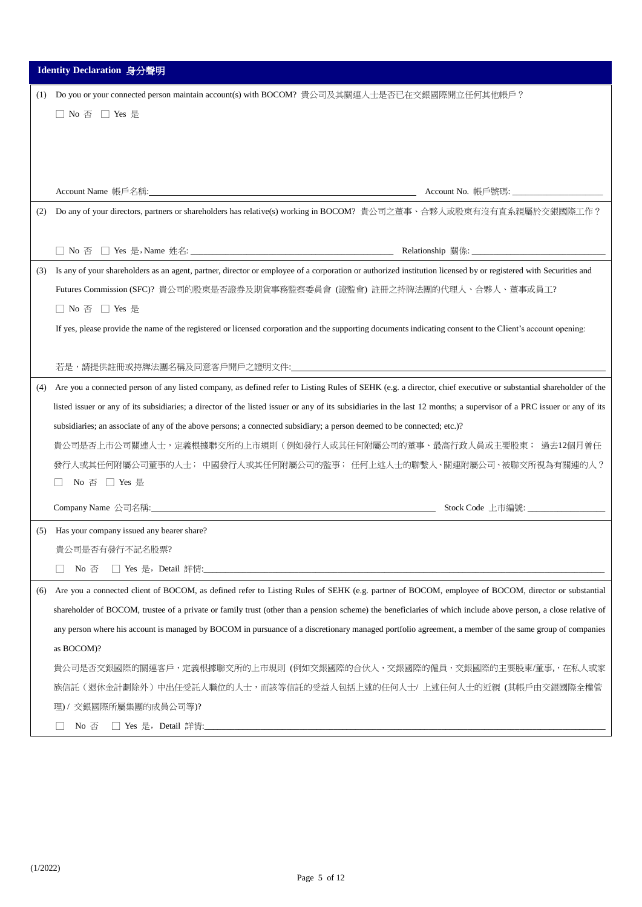|     | Identity Declaration 身分聲明                                                                                                                                              |  |  |
|-----|------------------------------------------------------------------------------------------------------------------------------------------------------------------------|--|--|
| (1) | Do you or your connected person maintain account(s) with BOCOM? 貴公司及其關連人士是否已在交銀國際開立任何其他帳戶?                                                                             |  |  |
|     | □ No 否 □ Yes 是                                                                                                                                                         |  |  |
|     |                                                                                                                                                                        |  |  |
|     |                                                                                                                                                                        |  |  |
|     |                                                                                                                                                                        |  |  |
|     |                                                                                                                                                                        |  |  |
| (2) | Do any of your directors, partners or shareholders has relative(s) working in BOCOM? 貴公司之董事、合夥人或股東有沒有直系親屬於交銀國際工作?                                                      |  |  |
|     |                                                                                                                                                                        |  |  |
|     |                                                                                                                                                                        |  |  |
| (3) | Is any of your shareholders as an agent, partner, director or employee of a corporation or authorized institution licensed by or registered with Securities and        |  |  |
|     | Futures Commission (SFC)? 貴公司的股東是否證券及期貨事務監察委員會 (證監會) 註冊之持牌法團的代理人、合夥人、董事或員工?                                                                                            |  |  |
|     | No 否 □ Yes 是                                                                                                                                                           |  |  |
|     | If yes, please provide the name of the registered or licensed corporation and the supporting documents indicating consent to the Client's account opening:             |  |  |
|     |                                                                                                                                                                        |  |  |
|     |                                                                                                                                                                        |  |  |
| (4) | Are you a connected person of any listed company, as defined refer to Listing Rules of SEHK (e.g. a director, chief executive or substantial shareholder of the        |  |  |
|     | listed issuer or any of its subsidiaries; a director of the listed issuer or any of its subsidiaries in the last 12 months; a supervisor of a PRC issuer or any of its |  |  |
|     | subsidiaries; an associate of any of the above persons; a connected subsidiary; a person deemed to be connected; etc.)?                                                |  |  |
|     | 貴公司是否上市公司關連人士,定義根據聯交所的上市規則(例如發行人或其任何附屬公司的董事、最高行政人員或主要股東; 過去12個月曾任                                                                                                      |  |  |
|     | 發行人或其任何附屬公司董事的人士; 中國發行人或其任何附屬公司的監事; 任何上述人士的聯繫人、關連附屬公司、被聯交所視為有關連的人?                                                                                                     |  |  |
|     | No 否 □ Yes 是                                                                                                                                                           |  |  |
|     |                                                                                                                                                                        |  |  |
| (5) | Has your company issued any bearer share?                                                                                                                              |  |  |
|     | 貴公司是否有發行不記名股票?                                                                                                                                                         |  |  |
|     | No 否                                                                                                                                                                   |  |  |
| (6) | Are you a connected client of BOCOM, as defined refer to Listing Rules of SEHK (e.g. partner of BOCOM, employee of BOCOM, director or substantial                      |  |  |
|     | shareholder of BOCOM, trustee of a private or family trust (other than a pension scheme) the beneficiaries of which include above person, a close relative of          |  |  |
|     | any person where his account is managed by BOCOM in pursuance of a discretionary managed portfolio agreement, a member of the same group of companies                  |  |  |
|     | as BOCOM)?                                                                                                                                                             |  |  |
|     | 貴公司是否交銀國際的關連客戶,定義根據聯交所的上市規則 (例如交銀國際的合伙人,交銀國際的僱員,交銀國際的主要股東/董事,,在私人或家                                                                                                    |  |  |
|     | 族信託(退休金計劃除外)中出任受託人職位的人士,而該等信託的受益人包括上述的任何人士/ 上述任何人士的近親 (其帳戶由交銀國際全權管                                                                                                     |  |  |
|     | 交銀國際所屬集團的成員公司等)?<br>埋)                                                                                                                                                 |  |  |
|     | No $\Leftrightarrow$                                                                                                                                                   |  |  |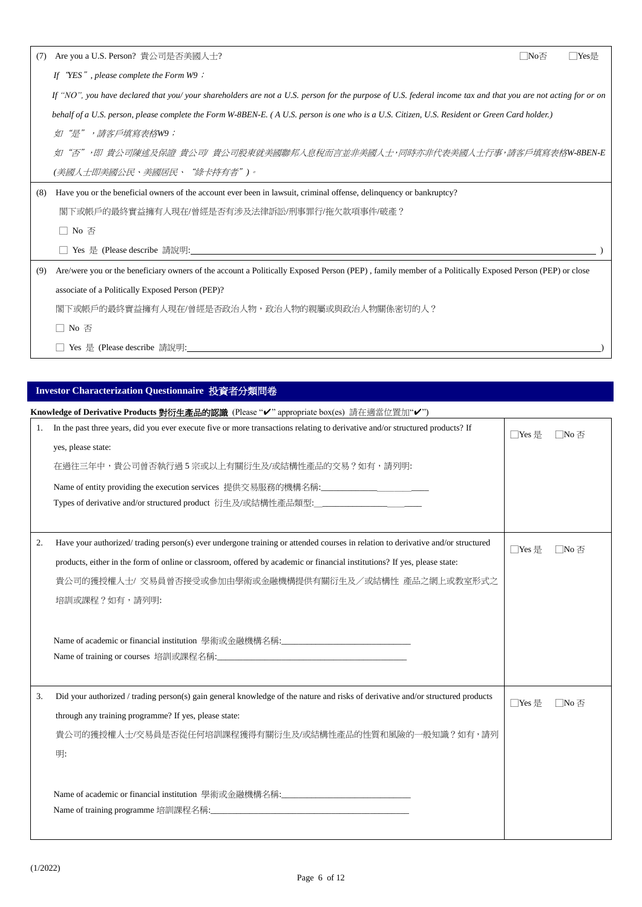| (7) | Are you a U.S. Person? 貴公司是否美國人士?                                                                                                                            | $No\overline{\mathbb{A}}$ | Yes是 |  |  |
|-----|--------------------------------------------------------------------------------------------------------------------------------------------------------------|---------------------------|------|--|--|
|     | "YES", please complete the Form $W9$ ;<br>If                                                                                                                 |                           |      |  |  |
|     | If "NO", you have declared that you/your shareholders are not a U.S. person for the purpose of U.S. federal income tax and that you are not acting for or on |                           |      |  |  |
|     | behalf of a U.S. person, please complete the Form W-8BEN-E. (A U.S. person is one who is a U.S. Citizen, U.S. Resident or Green Card holder.)                |                           |      |  |  |
|     | "是", <i>請客戶填寫表格W9;</i><br>∜Π                                                                                                                                 |                           |      |  |  |
|     | "否",即 貴公司陳述及保證 貴公司/ 貴公司股東就美國聯邦人息稅而言並非美國人士,同時亦非代表美國人士行事,請客戶填寫表格W-8BEN-E<br>∜∐                                                                                 |                           |      |  |  |
|     | (美國人士即美國公民、美國居民、"綠卡持有者")。                                                                                                                                    |                           |      |  |  |
| (8) | Have you or the beneficial owners of the account ever been in lawsuit, criminal offense, delinquency or bankruptcy?                                          |                           |      |  |  |
|     | 閣下或帳戶的最終實益擁有人現在/曾經是否有涉及法律訴訟/刑事罪行/拖欠款項事件/破產?                                                                                                                  |                           |      |  |  |
|     | $\Box$ No $\overline{\triangle}$                                                                                                                             |                           |      |  |  |
|     | Yes 是 (Please describe 請說明:                                                                                                                                  |                           |      |  |  |
| (9) | Are/were you or the beneficiary owners of the account a Politically Exposed Person (PEP), family member of a Politically Exposed Person (PEP) or close       |                           |      |  |  |
|     | associate of a Politically Exposed Person (PEP)?                                                                                                             |                           |      |  |  |
|     | 閣下或帳戶的最終實益擁有人現在/曾經是否政治人物,政治人物的親屬或與政治人物關係密切的人?                                                                                                                |                           |      |  |  |
|     | No 否                                                                                                                                                         |                           |      |  |  |
|     | Yes 是 (Please describe 請說明:                                                                                                                                  |                           |      |  |  |

## **Investor Characterization Questionnaire** 投資者分類問卷

|    | Knowledge of Derivative Products 對衍生產品的認識 (Please "✔" appropriate box(es) 請在適當位置加"✔")                                                               |        |                          |
|----|-----------------------------------------------------------------------------------------------------------------------------------------------------|--------|--------------------------|
| 1. | In the past three years, did you ever execute five or more transactions relating to derivative and/or structured products? If<br>yes, please state: | □Yes 是 | No 否                     |
|    | 在過往三年中,貴公司曾否執行過5宗或以上有關衍生及/或結構性產品的交易?如有,請列明:                                                                                                         |        |                          |
|    | Name of entity providing the execution services 提供交易服務的機構名稱:_____________________                                                                   |        |                          |
|    | Types of derivative and/or structured product 衍生及/或結構性產品類型: _____________________                                                                   |        |                          |
|    |                                                                                                                                                     |        |                          |
| 2. | Have your authorized/trading person(s) ever undergone training or attended courses in relation to derivative and/or structured                      | □Yes 是 | No 否                     |
|    | products, either in the form of online or classroom, offered by academic or financial institutions? If yes, please state:                           |        |                          |
|    | 貴公司的獲授權人士/ 交易員曾否接受或參加由學術或金融機構提供有關衍生及/或結構性 產品之網上或教室形式之                                                                                               |        |                          |
|    | 培訓或課程?如有,請列明:                                                                                                                                       |        |                          |
|    |                                                                                                                                                     |        |                          |
|    | Name of academic or financial institution 學術或金融機構名稱:<br><u> </u>                                                                                    |        |                          |
|    |                                                                                                                                                     |        |                          |
|    |                                                                                                                                                     |        |                          |
| 3. | Did your authorized / trading person(s) gain general knowledge of the nature and risks of derivative and/or structured products                     | □Yes 是 | $\Box$ No $\overline{A}$ |
|    | through any training programme? If yes, please state:                                                                                               |        |                          |
|    | 貴公司的獲授權人士/交易員是否從任何培訓課程獲得有關衍生及/或結構性產品的性質和風險的一般知識?如有,請列                                                                                               |        |                          |
|    | 明:                                                                                                                                                  |        |                          |
|    |                                                                                                                                                     |        |                          |
|    | Name of academic or financial institution 學術或金融機構名稱:<br><u> </u>                                                                                    |        |                          |
|    |                                                                                                                                                     |        |                          |
|    |                                                                                                                                                     |        |                          |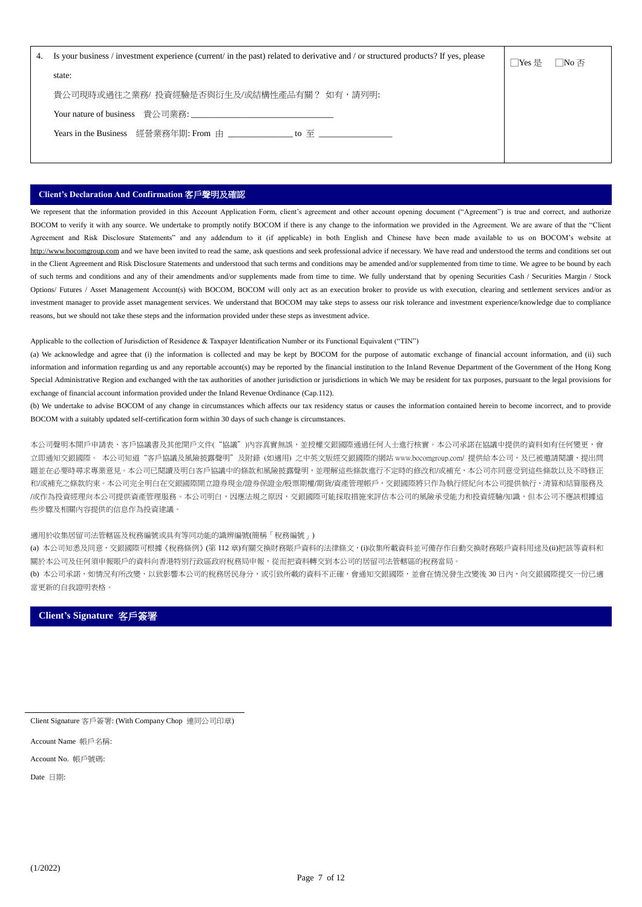| 4. Is your business / investment experience (current/ in the past) related to derivative and / or structured products? If yes, please | □Yes 是<br>□No 否 |
|---------------------------------------------------------------------------------------------------------------------------------------|-----------------|
| state:                                                                                                                                |                 |
| 貴公司現時或過往之業務/ 投資經驗是否與衍生及/或結構性產品有關? 如有,請列明:                                                                                             |                 |
|                                                                                                                                       |                 |
|                                                                                                                                       |                 |
|                                                                                                                                       |                 |

#### **Client's Declaration And Confirmation** 客戶聲明及確認

We represent that the information provided in this Account Application Form, client's agreement and other account opening document ("Agreement") is true and correct, and authorize BOCOM to verify it with any source. We undertake to promptly notify BOCOM if there is any change to the information we provided in the Agreement. We are aware of that the "Client Agreement and Risk Disclosure Statements" and any addendum to it (if applicable) in both English and Chinese have been made available to us on BOCOM's website at http:/[/www.bocomgroup.com](http://www.bocomgroup.com/) and we have been invited to read the same, ask questions and seek professional advice if necessary. We have read and understood the terms and conditions set out in the Client Agreement and Risk Disclosure Statements and understood that such terms and conditions may be amended and/or supplemented from time to time. We agree to be bound by each of such terms and conditions and any of their amendments and/or supplements made from time to time. We fully understand that by opening Securities Cash / Securities Margin / Stock Options/ Futures / Asset Management Account(s) with BOCOM, BOCOM will only act as an execution broker to provide us with execution, clearing and settlement services and/or as investment manager to provide asset management services. We understand that BOCOM may take steps to assess our risk tolerance and investment experience/knowledge due to compliance reasons, but we should not take these steps and the information provided under these steps as investment advice.

Applicable to the collection of Jurisdiction of Residence & Taxpayer Identification Number or its Functional Equivalent ("TIN")

(a) We acknowledge and agree that (i) the information is collected and may be kept by BOCOM for the purpose of automatic exchange of financial account information, and (ii) such information and information regarding us and any reportable account(s) may be reported by the financial institution to the Inland Revenue Department of the Government of the Hong Kong Special Administrative Region and exchanged with the tax authorities of another jurisdiction or jurisdictions in which We may be resident for tax purposes, pursuant to the legal provisions for exchange of financial account information provided under the Inland Revenue Ordinance (Cap.112).

(b) We undertake to advise BOCOM of any change in circumstances which affects our tax residency status or causes the information contained herein to become incorrect, and to provide BOCOM with a suitably updated self-certification form within 30 days of such change is circumstances.

本公司聲明本開戶申請表、客戶協議書及其他開戶文件("協議")內容真實無誤,並授權交銀國際通過任何人士進行核實。本公司承諾在協議中提供的資料如有任何變更,會 立即通知交銀國際。 本公司知道"客戶協議及風險披露聲明"及附錄 (如適用) 之中英文版經交銀國際的網站 [www.bocomgroup.com/](http://www.bocomgroup.com/) 提供給本公司,及已被邀請閱讀、提出問 題並在必要時尋求專業意見。本公司已閱讀及明白客戶協議中的條款和風險披露聲明,並理解這些條款進行不定時的修改和/或補充,本公司亦同意受到這些條款以及不時修正 和/或補充之條款約束。本公司完全明白在交銀國際開立證券現金/證券保證金/股票期權/期貨/資產管理帳戶,交銀國際將只作為執行經紀向本公司提供執行、清算和結算服務及 /或作為投資經理向本公司提供資產管理服務。本公司明白,因應法規之原因,交銀國際可能採取措施來評估本公司的風險承受能力和投資經驗/知識,但本公司不應該根據這 些步驟及相關內容提供的信息作為投資建議。

適用於收集居留司法管轄區及稅務編號或具有等同功能的識辨編號(簡稱「稅務編號」)

(a) 本公司知悉及同意,交銀國際可根據《稅務條例》(第 112 章)有關交換財務賬戶資料的法律條文,(i)收集所載資料並可備存作自動交換財務賬戶資料用途及(ii)把該等資料和 關於本公司及任何須申報賬戶的資料向香港特別行政區政府稅務局申報,從而把資料轉交到本公司的居留司法管轄區的稅務當局。

(b) 本公司承諾,如情況有所改變,以致影響本公司的稅務居民身分,或引致所載的資料不正確,會通知交銀國際,並會在情況發生改變後 30 日内,向交銀國際提交一份已適 當更新的自我證明表格。

## **Client's Signature** 客戶簽署

Account Name 帳戶名稱:

Account No. 帳戶號碼:

Date 日期:

Client Signature 客戶簽署: (With Company Chop 連同公司印章)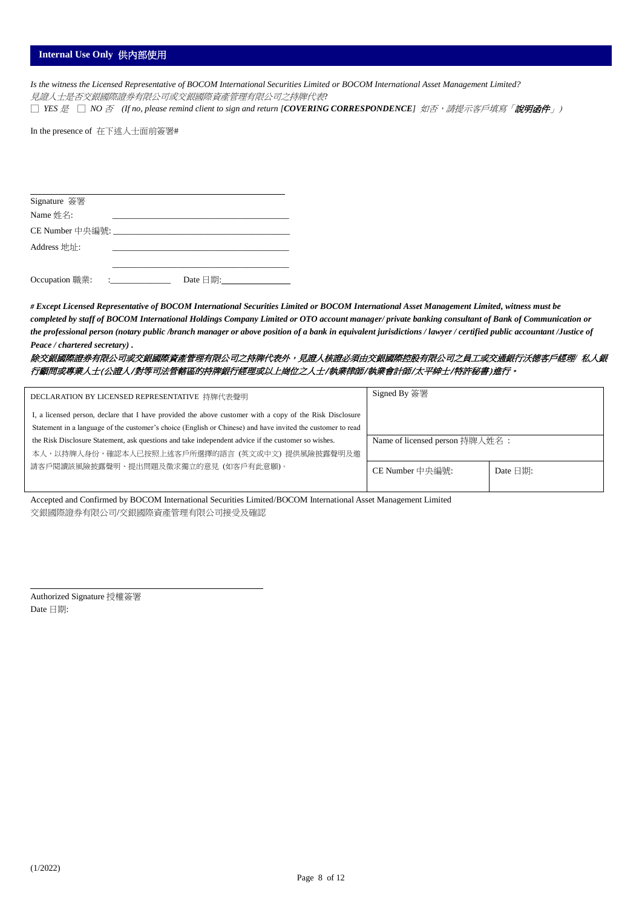*Is the witness the Licensed Representative of BOCOM International Securities Limited or BOCOM International Asset Management Limited?* 見證人士是否交銀國際證券有限公司或交銀國際資產管理有限公司之持牌代表? □ *YES* 是 □ *NO* 否 *(If no, please remind client to sign and return [COVERING CORRESPONDENCE] 如否,請提示客戶填寫「說明函件」*)

In the presence of 在下述人士面前簽署#

| Signature 簽署                      |                |  |
|-----------------------------------|----------------|--|
| Name 姓名:                          |                |  |
| CE Number 中央編號: _________________ |                |  |
| Address 地址:                       |                |  |
|                                   |                |  |
| Occupation 職業:                    | Date $\Box$ 期: |  |

*# Except Licensed Representative of BOCOM International Securities Limited or BOCOM International Asset Management Limited, witness must be completed by staff of BOCOM International Holdings Company Limited or OTO account manager/ private banking consultant of Bank of Communication or the professional person (notary public /branch manager or above position of a bank in equivalent jurisdictions / lawyer / certified public accountant /Justice of Peace / chartered secretary) .*

#### 除交銀國際證券有限公司或交銀國際資產管理有限公司之持牌代表外,見證人核證必須由交銀國際控股有限公司之員工或交通銀行沃德客戶經理*/* 私人銀 行顧問或專業人士(公證人/對等司法管轄區的持牌銀行經理或以上崗位之人士/執業律師/執業會計師/太平紳士/特許秘書)進行。

| DECLARATION BY LICENSED REPRESENTATIVE 持牌代表聲明                                                               | Signed By 簽署                   |                |
|-------------------------------------------------------------------------------------------------------------|--------------------------------|----------------|
| I, a licensed person, declare that I have provided the above customer with a copy of the Risk Disclosure    |                                |                |
| Statement in a language of the customer's choice (English or Chinese) and have invited the customer to read |                                |                |
| the Risk Disclosure Statement, ask questions and take independent advice if the customer so wishes.         | Name of licensed person 持牌人姓名: |                |
| 本人,以持牌人身份,確認本人已按照上述客戶所選擇的語言 (英文或中文) 提供風險披露聲明及邀                                                              |                                |                |
| 請客戶閱讀該風險披露聲明、提出問題及徵求獨立的意見 (如客戶有此意願)。                                                                        | CE Number 中央編號:                | Date $\Box$ 期: |
|                                                                                                             |                                |                |

Accepted and Confirmed by BOCOM International Securities Limited/BOCOM International Asset Management Limited 交銀國際證券有限公司/交銀國際資產管理有限公司接受及確認

Authorized Signature 授權簽署 Date 日期:

 $\overline{a}$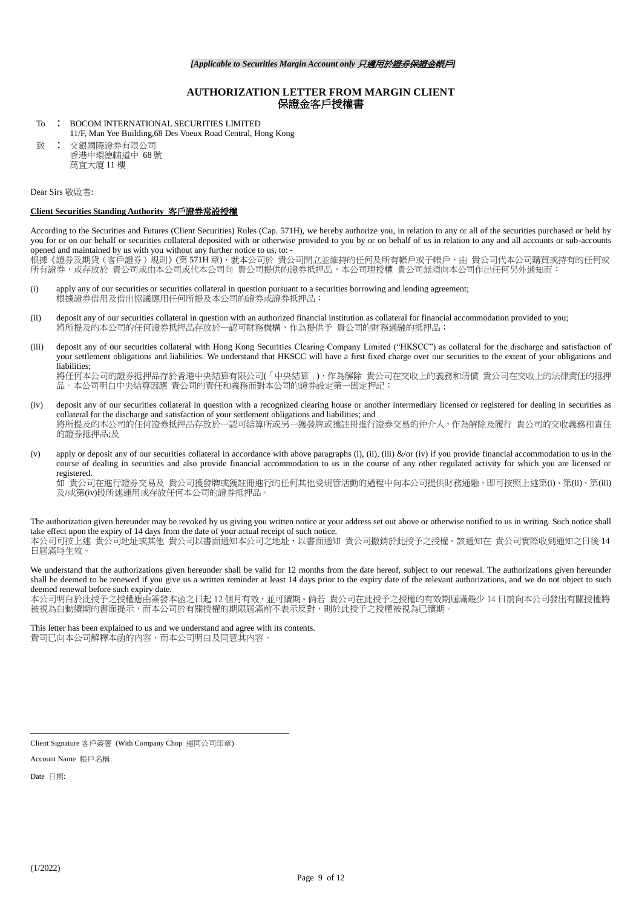#### **AUTHORIZATION LETTER FROM MARGIN CLIENT** 保證金客戶授權書

- To : BOCOM INTERNATIONAL SECURITIES LIMITED
- 11/F, Man Yee Building,68 Des Voeux Road Central, Hong Kong
- <sup>致</sup> : 交銀國際證券有限公司 香港中環德輔道中 68 號 萬宜大廈 11 樓

#### Dear Sirs 敬啟者:

#### **Client Securities Standing Authority** 客戶證券常設授權

According to the Securities and Futures (Client Securities) Rules (Cap. 571H), we hereby authorize you, in relation to any or all of the securities purchased or held by you for or on our behalf or securities collateral deposited with or otherwise provided to you by or on behalf of us in relation to any and all accounts or sub-accounts opened and maintained by us with you without any further notice to us, to: -

根據《證券及期貨(客戶證券)規則》(第 571H 章),就本公司於 貴公司開立並維持的任何及所有帳戶或子帳戶,由 貴公司代本公司購買或持有的任何或 所有證券,或存放於 貴公司或由本公司或代本公司向 貴公司提供的證券抵押品,本公司現授權 貴公司無須向本公司作出任何另外通知而:

- (i) apply any of our securities or securities collateral in question pursuant to a securities borrowing and lending agreement; 根據證券借用及借出協議應用任何所提及本公司的證券或證券抵押品;
- (ii) deposit any of our securities collateral in question with an authorized financial institution as collateral for financial accommodation provided to you; 將所提及的本公司的任何證券抵押品存放於一認可財務機構,作為提供予 貴公司的財務通融的抵押品;
- (iii) deposit any of our securities collateral with Hong Kong Securities Clearing Company Limited ("HKSCC") as collateral for the discharge and satisfaction of your settlement obligations and liabilities. We understand that HKSCC will have a first fixed charge over our securities to the extent of your obligations and liabilities;

將任何本公司的證券抵押品存於香港中央結算有限公司(「中央結算」),作為解除 貴公司在交收上的義務和清償 貴公司在交收上的法律責任的抵押 品。本公司明白中央結算因應 貴公司的責任和義務而對本公司的證券設定第一固定押記;

- (iv) deposit any of our securities collateral in question with a recognized clearing house or another intermediary licensed or registered for dealing in securities as collateral for the discharge and satisfaction of your settlement obligations and liabilities; and 將所提及的本公司的任何證券抵押品存放於一認可結算所或另一獲發牌或獲註冊進行證券交易的仲介人,作為解除及履行 貴公司的交收義務和責任 的證券抵押品;及
- (v) apply or deposit any of our securities collateral in accordance with above paragraphs (i), (iii), (iii)  $\&$ /or (iv) if you provide financial accommodation to us in the course of dealing in securities and also provide financial accommodation to us in the course of any other regulated activity for which you are licensed or registered.

如 貴公司在進行證券交易及 貴公司獲發牌或獲註冊進行的任何其他受規管活動的過程中向本公司提供財務通融,即可按照上述第(i)、第(ii)、第(iii) 及/或第(iv)段所述運用或存放任何本公司的證券抵押品。

The authorization given hereunder may be revoked by us giving you written notice at your address set out above or otherwise notified to us in writing. Such notice shall take effect upon the expiry of 14 days from the date of your actual receipt of such notice. 本公司可按上述 貴公司地址或其他 貴公司以書面通知本公司之地址,以書面通知 貴公司撤銷於此授予之授權。該通知在 貴公司實際收到通知之日後 14

日屆滿時生效。

We understand that the authorizations given hereunder shall be valid for 12 months from the date hereof, subject to our renewal. The authorizations given hereunder shall be deemed to be renewed if you give us a written reminder at least 14 days prior to the expiry date of the relevant authorizations, and we do not object to such deemed renewal before such expiry date.

本公司明白於此授予之授權應由簽發本函之日起 12 個月有效,並可續期。倘若 貴公司在此授予之授權的有效期屆滿最少 14 日前向本公司發出有關授權將 被視為自動續期的書面提示,而本公司於有關授權的期限屆滿前不表示反對,則於此授予之授權被視為已續期。

This letter has been explained to us and we understand and agree with its contents. 貴司已向本公司解釋本函的內容,而本公司明白及同意其內容。

Client Signature 客戶簽署 (With Company Chop 連同公司印章)

Account Name 帳戶名稱:

Date 日期: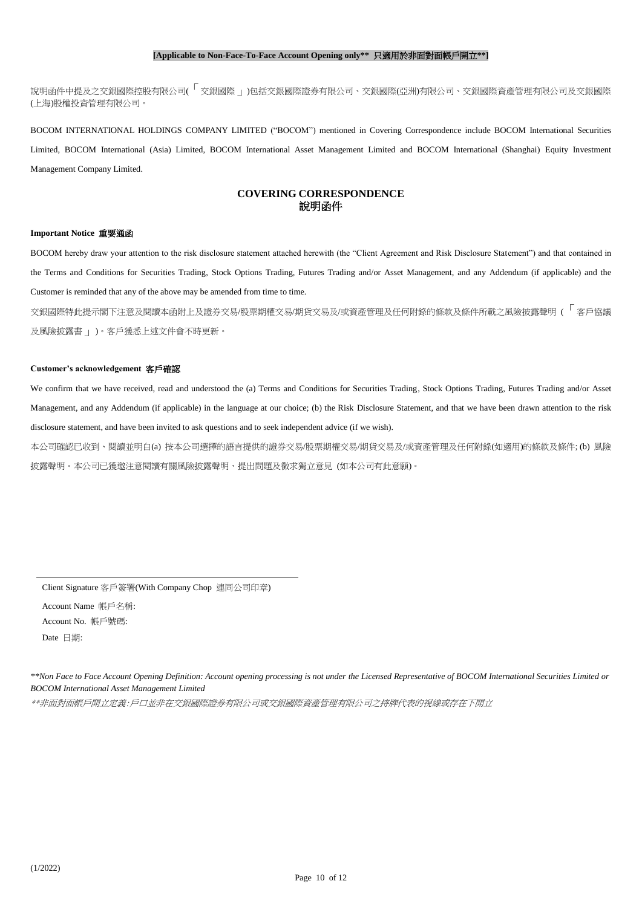#### **[Applicable to Non-Face-To-Face Account Opening only\*\*** 只適用於非面對面帳戶開立**\*\*]**

說明函件中提及之交銀國際控股有限公司(「交銀國際」)包括交銀國際證券有限公司、交銀國際(亞洲)有限公司、交銀國際資產管理有限公司及交銀國際 (上海)股權投資管理有限公司。

BOCOM INTERNATIONAL HOLDINGS COMPANY LIMITED ("BOCOM") mentioned in Covering Correspondence include BOCOM International Securities Limited, BOCOM International (Asia) Limited, BOCOM International Asset Management Limited and BOCOM International (Shanghai) Equity Investment Management Company Limited.

## **COVERING CORRESPONDENCE** 說明函件

#### **Important Notice** 重要通函

BOCOM hereby draw your attention to the risk disclosure statement attached herewith (the "Client Agreement and Risk Disclosure Statement") and that contained in the Terms and Conditions for Securities Trading, Stock Options Trading, Futures Trading and/or Asset Management, and any Addendum (if applicable) and the Customer is reminded that any of the above may be amended from time to time.

交銀國際特此提示閣下注意及閱讀本函附上及證券交易/股票期權交易/期貨交易及/或資產管理及任何附錄的條款及條件所載之風險披露聲明 ( <sup>「</sup> 客戶協議 及風險披露書」)。客戶獲悉上述文件會不時更新。

#### **Customer's acknowledgement** 客戶確認

We confirm that we have received, read and understood the (a) Terms and Conditions for Securities Trading, Stock Options Trading, Futures Trading and/or Asset Management, and any Addendum (if applicable) in the language at our choice; (b) the Risk Disclosure Statement, and that we have been drawn attention to the risk disclosure statement, and have been invited to ask questions and to seek independent advice (if we wish).

本公司確認已收到、閱讀並明白(a) 按本公司選擇的語言提供的證券交易/股票期權交易/期貨交易及/或資產管理及任何附錄(如適用)的條款及條件; (b) 風險 披露聲明。本公司已獲邀注意閱讀有關風險披露聲明、提出問題及徵求獨立意見 (如本公司有此意願)。

Client Signature 客戶簽署(With Company Chop 連同公司印章) Account Name 帳戶名稱: Account No. 帳戶號碼: Date 日期:

*\*\*Non Face to Face Account Opening Definition: Account opening processing is not under the Licensed Representative of BOCOM International Securities Limited or BOCOM International Asset Management Limited*

\*\*非面對面帳戶開立定義:戶口並非在交銀國際證券有限公司或交銀國際資產管理有限公司之持牌代表的視線或存在下開立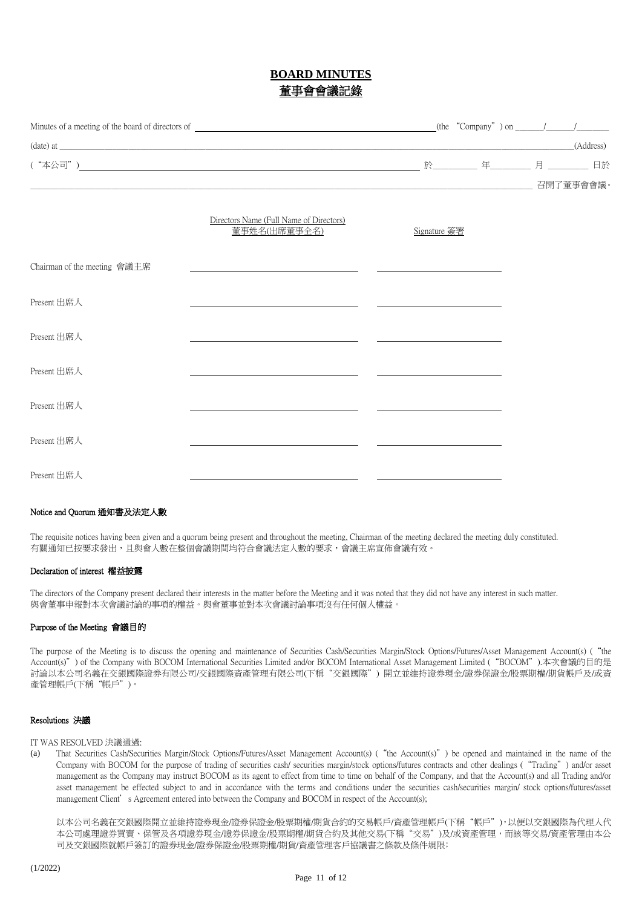## **BOARD MINUTES** 董事會會議記錄

|                              |                                                                                 |                                                                                                                         |  |  | (Address) |
|------------------------------|---------------------------------------------------------------------------------|-------------------------------------------------------------------------------------------------------------------------|--|--|-----------|
|                              |                                                                                 |                                                                                                                         |  |  |           |
|                              |                                                                                 |                                                                                                                         |  |  |           |
|                              | Directors Name (Full Name of Directors)<br>董事姓名(出席董事全名)                         | Signature 簽署                                                                                                            |  |  |           |
| Chairman of the meeting 會議主席 | <u> 1989 - Johann Stein, mars an t-Amerikaansk ferskeizh (* 1908)</u>           | <u> Alexandro Alexandro Alexandro Alexandro Alexandro Alexandro Alexandro Alexandro Alexandro Alexandro Alexandro A</u> |  |  |           |
| Present 出席人                  | <u> 1980 - Andrea Station, amerikan bizko eta politikaria (h. 1980).</u>        |                                                                                                                         |  |  |           |
| Present 出席人                  | <u> 1989 - Johann Barbara, martxa alemaniar arg</u>                             | <u> The Communication of the Communication</u>                                                                          |  |  |           |
| Present H席人                  | <u> 1980 - Andrea Andrew Maria (h. 1980).</u>                                   |                                                                                                                         |  |  |           |
| Present H席人                  | <u> 1980 - Andrea Andrew Maria (h. 1980).</u>                                   | <u> 1980 - Andrea Andrew Maria (</u>                                                                                    |  |  |           |
| Present 出席人                  | <u> 1980 - Andrea Andrew Maria (h. 1980).</u>                                   |                                                                                                                         |  |  |           |
| Present 出席人                  | the contract of the contract of the contract of the contract of the contract of |                                                                                                                         |  |  |           |

#### Notice and Quorum 通知書及法定人數

The requisite notices having been given and a quorum being present and throughout the meeting, Chairman of the meeting declared the meeting duly constituted. 有關通知已按要求發出,且與會人數在整個會議期間均符合會議法定人數的要求,會議主席宣佈會議有效。

#### Declaration of interest 權益披露

The directors of the Company present declared their interests in the matter before the Meeting and it was noted that they did not have any interest in such matter. 與會董事申報對本次會議討論的事項的權益。與會董事並對本次會議討論事項沒有任何個人權益。

#### Purpose of the Meeting 會議目的

The purpose of the Meeting is to discuss the opening and maintenance of Securities Cash/Securities Margin/Stock Options/Futures/Asset Management Account(s) ("the Account(s)") of the Company with BOCOM International Securities Limited and/or BOCOM International Asset Management Limited ("BOCOM").本次會議的目的是 討論以本公司名義在交銀國際證券有限公司/交銀國際資產管理有限公司(下稱"交銀國際") 開立並維持證券現金/證券保證金/股票期權/期貨帳戶及/或資 產管理帳戶(下稱"帳戶")。

#### Resolutions 決議

#### IT WAS RESOLVED 決議通過:

(a) That Securities Cash/Securities Margin/Stock Options/Futures/Asset Management Account(s) ("the Account(s)") be opened and maintained in the name of the Company with BOCOM for the purpose of trading of securities cash/ securities margin/stock options/futures contracts and other dealings ("Trading") and/or asset management as the Company may instruct BOCOM as its agent to effect from time to time on behalf of the Company, and that the Account(s) and all Trading and/or asset management be effected subject to and in accordance with the terms and conditions under the securities cash/securities margin/ stock options/futures/asset management Client's Agreement entered into between the Company and BOCOM in respect of the Account(s);

以本公司名義在交銀國際開立並維持證券現金/證券保證金/股票期權/期貨合約的交易帳戶/資產管理帳戶(下稱"帳戶"),以便以交銀國際為代理人代 本公司處理證券買賣、保管及各項證券現金/證券保證金/股票期權/期貨合約及其他交易(下稱"交易")及/或資產管理,而該等交易/資產管理由本公 司及交銀國際就帳戶簽訂的證券現金/證券保證金/股票期權/期貨/資產管理客戶協議書之條款及條件規限;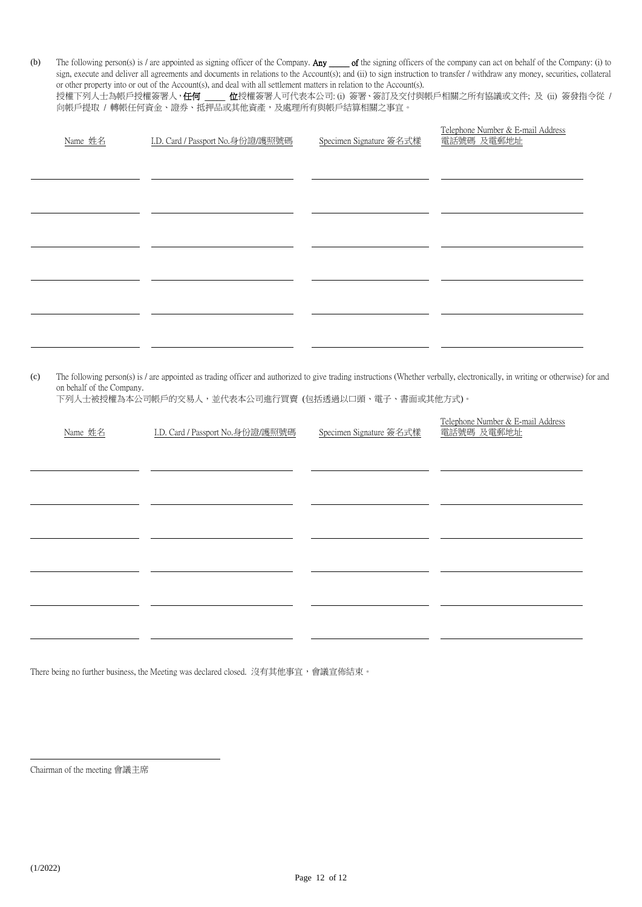(b) The following person(s) is / are appointed as signing officer of the Company. Any \_\_\_\_\_ of the signing officers of the company can act on behalf of the Company: (i) to sign, execute and deliver all agreements and documents in relations to the Account(s); and (ii) to sign instruction to transfer / withdraw any money, securities, collateral or other property into or out of the Account(s), and deal with all settlement matters in relation to the Account(s). 授權下列人士為帳戶授權簽署人,**任何 \_\_\_\_\_ 位**授權簽署人可代表本公司: (i) 簽署、簽訂及交付與帳戶相關之所有協議或文件; 及 (ii) 簽發指令從 /

向帳戶提取 / 轉帳任何資金、證券、抵押品或其他資產,及處理所有與帳戶結算相關之事宜。

| Name 姓名                   | I.D. Card / Passport No. 身份證/護照號碼                  | Specimen Signature 簽名式樣 | Telephone Number & E-mail Address<br>電話號碼 及電郵地址                                                                                                                               |
|---------------------------|----------------------------------------------------|-------------------------|-------------------------------------------------------------------------------------------------------------------------------------------------------------------------------|
|                           |                                                    |                         |                                                                                                                                                                               |
|                           |                                                    |                         |                                                                                                                                                                               |
|                           |                                                    |                         |                                                                                                                                                                               |
|                           |                                                    |                         |                                                                                                                                                                               |
|                           |                                                    |                         |                                                                                                                                                                               |
| on behalf of the Company. | 下列人士被授權為本公司帳戶的交易人,並代表本公司進行買賣 (包括透過以口頭、電子、書面或其他方式)。 |                         | The following person(s) is / are appointed as trading officer and authorized to give trading instructions (Whether verbally, electronically, in writing or otherwise) for and |
| Name 姓名                   | I.D. Card / Passport No.身份證/護照號碼                   | Specimen Signature 簽名式樣 | Telephone Number & E-mail Address<br>電話號碼 及電郵地址                                                                                                                               |
|                           |                                                    |                         |                                                                                                                                                                               |
|                           |                                                    |                         |                                                                                                                                                                               |
|                           |                                                    |                         |                                                                                                                                                                               |

There being no further business, the Meeting was declared closed. 沒有其他事宜,會議宣佈結束。

Chairman of the meeting 會議主席